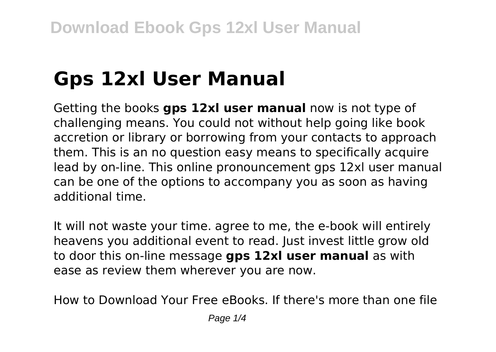# **Gps 12xl User Manual**

Getting the books **gps 12xl user manual** now is not type of challenging means. You could not without help going like book accretion or library or borrowing from your contacts to approach them. This is an no question easy means to specifically acquire lead by on-line. This online pronouncement gps 12xl user manual can be one of the options to accompany you as soon as having additional time.

It will not waste your time. agree to me, the e-book will entirely heavens you additional event to read. Just invest little grow old to door this on-line message **gps 12xl user manual** as with ease as review them wherever you are now.

How to Download Your Free eBooks. If there's more than one file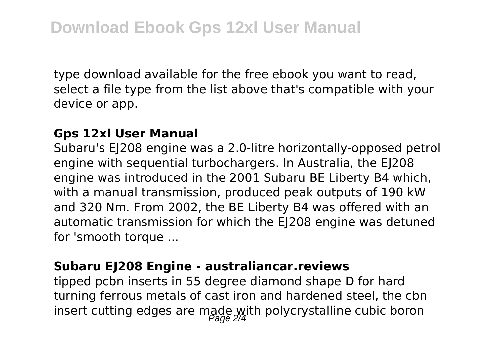type download available for the free ebook you want to read, select a file type from the list above that's compatible with your device or app.

#### **Gps 12xl User Manual**

Subaru's EJ208 engine was a 2.0-litre horizontally-opposed petrol engine with sequential turbochargers. In Australia, the EJ208 engine was introduced in the 2001 Subaru BE Liberty B4 which, with a manual transmission, produced peak outputs of 190 kW and 320 Nm. From 2002, the BE Liberty B4 was offered with an automatic transmission for which the EJ208 engine was detuned for 'smooth torque ...

#### **Subaru EJ208 Engine - australiancar.reviews**

tipped pcbn inserts in 55 degree diamond shape D for hard turning ferrous metals of cast iron and hardened steel, the cbn insert cutting edges are made with polycrystalline cubic boron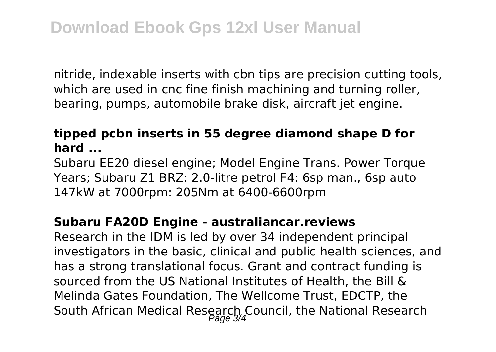nitride, indexable inserts with cbn tips are precision cutting tools, which are used in cnc fine finish machining and turning roller, bearing, pumps, automobile brake disk, aircraft jet engine.

### **tipped pcbn inserts in 55 degree diamond shape D for hard ...**

Subaru EE20 diesel engine; Model Engine Trans. Power Torque Years; Subaru Z1 BRZ: 2.0-litre petrol F4: 6sp man., 6sp auto 147kW at 7000rpm: 205Nm at 6400-6600rpm

#### **Subaru FA20D Engine - australiancar.reviews**

Research in the IDM is led by over 34 independent principal investigators in the basic, clinical and public health sciences, and has a strong translational focus. Grant and contract funding is sourced from the US National Institutes of Health, the Bill & Melinda Gates Foundation, The Wellcome Trust, EDCTP, the South African Medical Research Council, the National Research